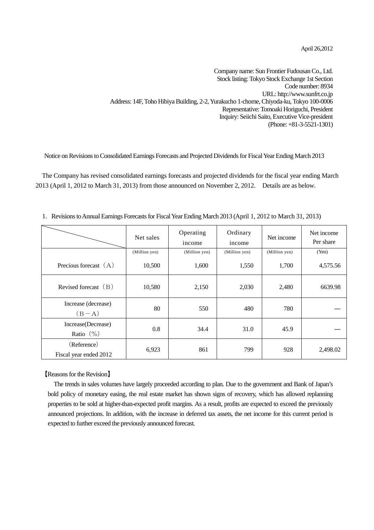April 26,2012

Company name: Sun Frontier Fudousan Co., Ltd. Stock listing: Tokyo Stock Exchange 1st Section Code number: 8934 URL: http://www.sunfrt.co.jp Address: 14F, Toho Hibiya Building, 2-2, Yurakucho 1-chome, Chiyoda-ku, Tokyo 100-0006 Representative: Tomoaki Horiguchi, President Inquiry: Seiichi Saito, Executive Vice-president (Phone: +81-3-5521-1301)

Notice on Revisions to Consolidated Earnings Forecasts and Projected Dividends for Fiscal Year Ending March 2013

The Company has revised consolidated earnings forecasts and projected dividends for the fiscal year ending March 2013 (April 1, 2012 to March 31, 2013) from those announced on November 2, 2012. Details are as below.

|                                       | Net sales     | Operating<br>income | Ordinary<br>income | Net income    | Net income<br>Per share |
|---------------------------------------|---------------|---------------------|--------------------|---------------|-------------------------|
|                                       | (Million yen) | (Million yen)       | (Million yen)      | (Million yen) | (Yen)                   |
| Precious forecast $(A)$               | 10,500        | 1,600               | 1,550              | 1,700         | 4,575.56                |
| Revised forecast $(B)$                | 10,580        | 2,150               | 2,030              | 2,480         | 6639.98                 |
| Increase (decrease)<br>$(B-A)$        | 80            | 550                 | 480                | 780           |                         |
| Increase(Decrease)<br>Ratio $(\% )$   | 0.8           | 34.4                | 31.0               | 45.9          |                         |
| (Reference)<br>Fiscal year ended 2012 | 6,923         | 861                 | 799                | 928           | 2,498.02                |

1.Revisions to Annual Earnings Forecasts for Fiscal Year Ending March 2013 (April 1, 2012 to March 31, 2013)

## 【Reasons for the Revision】

The trends in sales volumes have largely proceeded according to plan. Due to the government and Bank of Japan's bold policy of monetary easing, the real estate market has shown signs of recovery, which has allowed replanning properties to be sold at higher-than-expected profit margins. As a result, profits are expected to exceed the previously announced projections. In addition, with the increase in deferred tax assets, the net income for this current period is expected to further exceed the previously announced forecast.